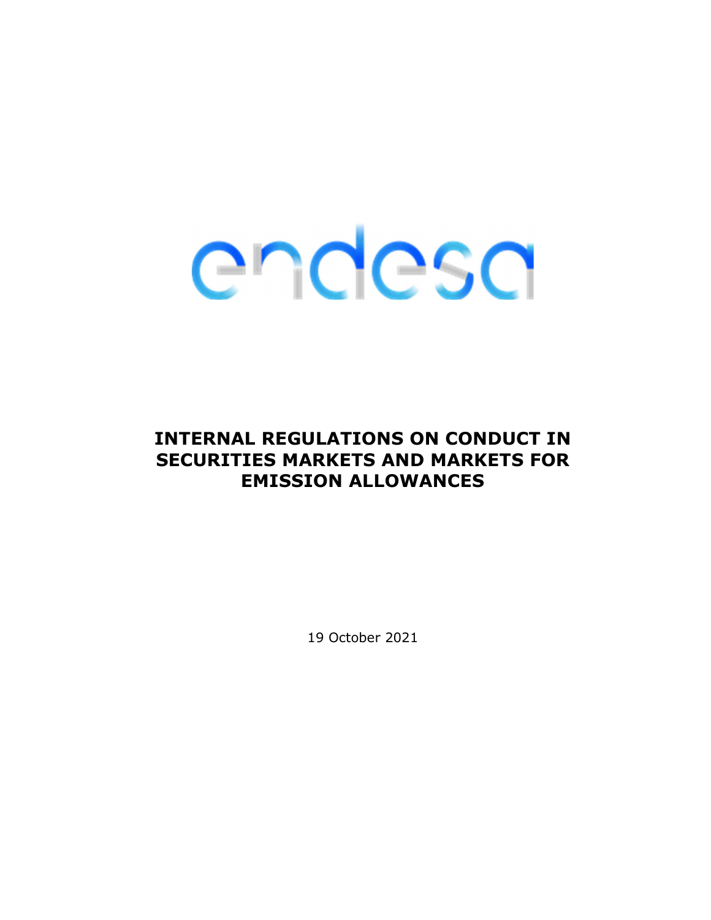### INTERNAL REGULATIONS ON CONDUCT IN SECURITIES MARKETS AND MARKETS FOR EMISSION ALLOWANCES

19 October 2021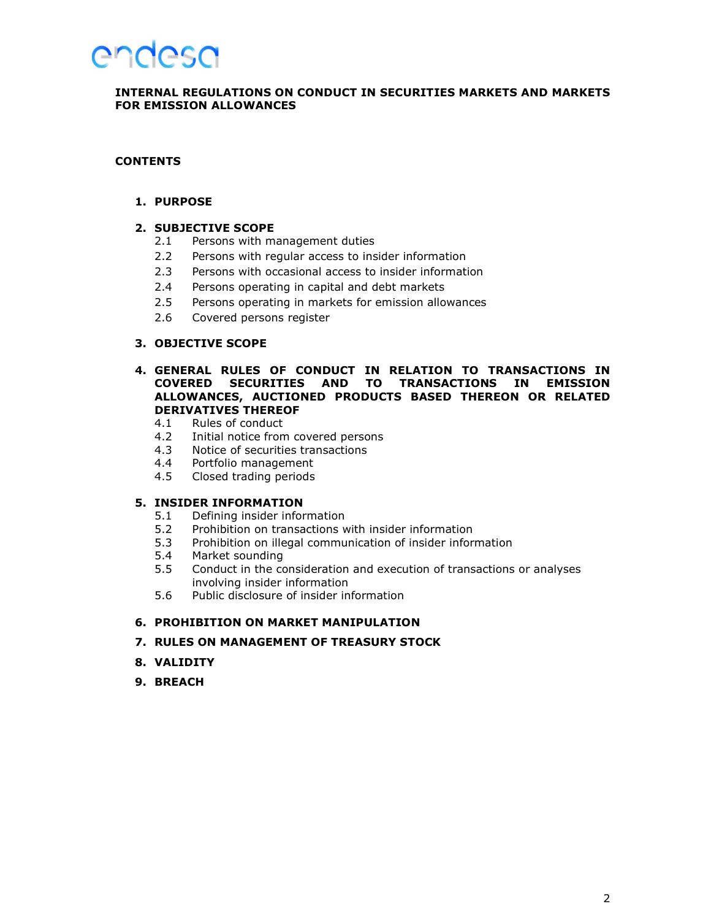### **AUGGSU**

### INTERNAL REGULATIONS ON CONDUCT IN SECURITIES MARKETS AND MARKETS FOR EMISSION ALLOWANCES

### **CONTENTS**

### 1. PURPOSE

### 2. SUBJECTIVE SCOPE

- 2.1 Persons with management duties
- 2.2 Persons with regular access to insider information
- 2.3 Persons with occasional access to insider information
- 2.4 Persons operating in capital and debt markets
- 2.5 Persons operating in markets for emission allowances
- 2.6 Covered persons register

### 3. OBJECTIVE SCOPE

### 4. GENERAL RULES OF CONDUCT IN RELATION TO TRANSACTIONS IN COVERED SECURITIES AND TO TRANSACTIONS IN EMISSION ALLOWANCES, AUCTIONED PRODUCTS BASED THEREON OR RELATED DERIVATIVES THEREOF

- 4.1 Rules of conduct
- 4.2 Initial notice from covered persons
- 4.3 Notice of securities transactions
- 4.4 Portfolio management
- 4.5 Closed trading periods

### 5. INSIDER INFORMATION

- 5.1 Defining insider information<br>5.2 Prohibition on transactions v
- Prohibition on transactions with insider information
- 5.3 Prohibition on illegal communication of insider information
- 5.4 Market sounding
- 5.5 Conduct in the consideration and execution of transactions or analyses involving insider information
- 5.6 Public disclosure of insider information

### 6. PROHIBITION ON MARKET MANIPULATION

### 7. RULES ON MANAGEMENT OF TREASURY STOCK

- 8. VALIDITY
- 9. BREACH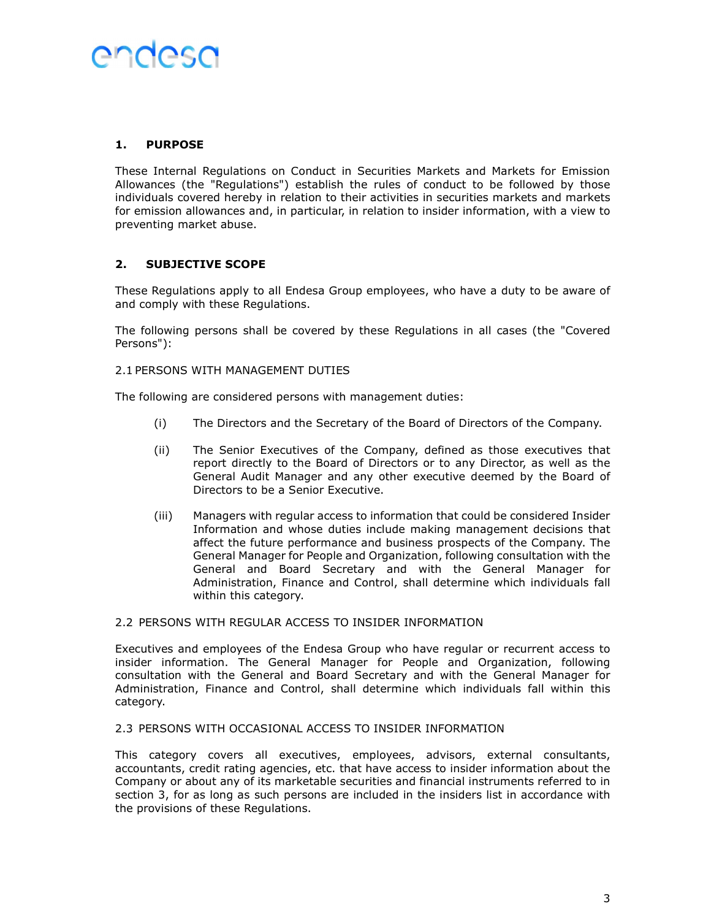### 1. PURPOSE

These Internal Regulations on Conduct in Securities Markets and Markets for Emission Allowances (the "Regulations") establish the rules of conduct to be followed by those individuals covered hereby in relation to their activities in securities markets and markets for emission allowances and, in particular, in relation to insider information, with a view to preventing market abuse.

### 2. SUBJECTIVE SCOPE

These Regulations apply to all Endesa Group employees, who have a duty to be aware of and comply with these Regulations.

The following persons shall be covered by these Regulations in all cases (the "Covered Persons"):

### 2.1 PERSONS WITH MANAGEMENT DUTIES

The following are considered persons with management duties:

- (i) The Directors and the Secretary of the Board of Directors of the Company.
- (ii) The Senior Executives of the Company, defined as those executives that report directly to the Board of Directors or to any Director, as well as the General Audit Manager and any other executive deemed by the Board of Directors to be a Senior Executive.
- (iii) Managers with regular access to information that could be considered Insider Information and whose duties include making management decisions that affect the future performance and business prospects of the Company. The General Manager for People and Organization, following consultation with the General and Board Secretary and with the General Manager for Administration, Finance and Control, shall determine which individuals fall within this category.

### 2.2 PERSONS WITH REGULAR ACCESS TO INSIDER INFORMATION

Executives and employees of the Endesa Group who have regular or recurrent access to insider information. The General Manager for People and Organization, following consultation with the General and Board Secretary and with the General Manager for Administration, Finance and Control, shall determine which individuals fall within this category.

### 2.3 PERSONS WITH OCCASIONAL ACCESS TO INSIDER INFORMATION

This category covers all executives, employees, advisors, external consultants, accountants, credit rating agencies, etc. that have access to insider information about the Company or about any of its marketable securities and financial instruments referred to in section 3, for as long as such persons are included in the insiders list in accordance with the provisions of these Regulations.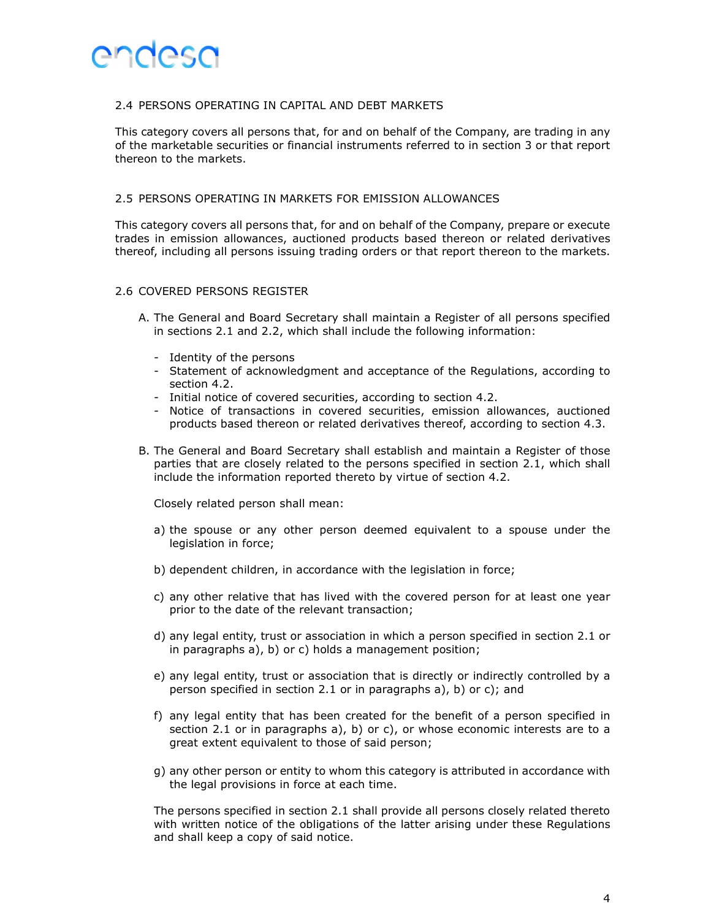### 2.4 PERSONS OPERATING IN CAPITAL AND DEBT MARKETS

This category covers all persons that, for and on behalf of the Company, are trading in any of the marketable securities or financial instruments referred to in section 3 or that report thereon to the markets.

### 2.5 PERSONS OPERATING IN MARKETS FOR EMISSION ALLOWANCES

This category covers all persons that, for and on behalf of the Company, prepare or execute trades in emission allowances, auctioned products based thereon or related derivatives thereof, including all persons issuing trading orders or that report thereon to the markets.

### 2.6 COVERED PERSONS REGISTER

- A. The General and Board Secretary shall maintain a Register of all persons specified in sections 2.1 and 2.2, which shall include the following information:
	- Identity of the persons
	- Statement of acknowledgment and acceptance of the Regulations, according to section 4.2.
	- Initial notice of covered securities, according to section 4.2.
	- Notice of transactions in covered securities, emission allowances, auctioned products based thereon or related derivatives thereof, according to section 4.3.
- B. The General and Board Secretary shall establish and maintain a Register of those parties that are closely related to the persons specified in section 2.1, which shall include the information reported thereto by virtue of section 4.2.

Closely related person shall mean:

- a) the spouse or any other person deemed equivalent to a spouse under the legislation in force;
- b) dependent children, in accordance with the legislation in force;
- c) any other relative that has lived with the covered person for at least one year prior to the date of the relevant transaction;
- d) any legal entity, trust or association in which a person specified in section 2.1 or in paragraphs a), b) or c) holds a management position;
- e) any legal entity, trust or association that is directly or indirectly controlled by a person specified in section 2.1 or in paragraphs a), b) or c); and
- f) any legal entity that has been created for the benefit of a person specified in section 2.1 or in paragraphs a), b) or c), or whose economic interests are to a great extent equivalent to those of said person;
- g) any other person or entity to whom this category is attributed in accordance with the legal provisions in force at each time.

The persons specified in section 2.1 shall provide all persons closely related thereto with written notice of the obligations of the latter arising under these Regulations and shall keep a copy of said notice.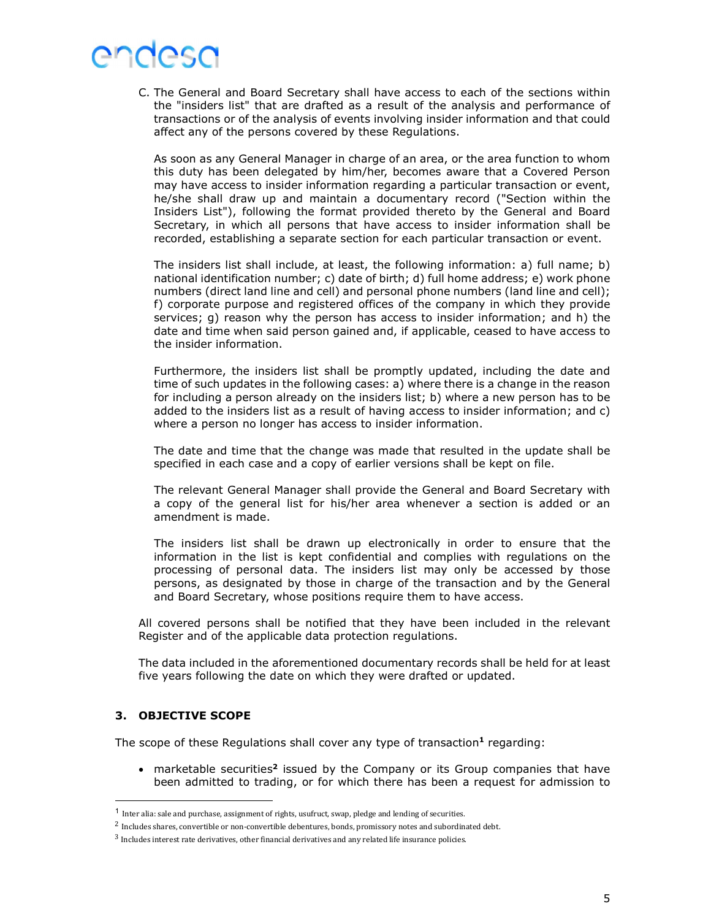C. The General and Board Secretary shall have access to each of the sections within the "insiders list" that are drafted as a result of the analysis and performance of transactions or of the analysis of events involving insider information and that could affect any of the persons covered by these Regulations.

As soon as any General Manager in charge of an area, or the area function to whom this duty has been delegated by him/her, becomes aware that a Covered Person may have access to insider information regarding a particular transaction or event, he/she shall draw up and maintain a documentary record ("Section within the Insiders List"), following the format provided thereto by the General and Board Secretary, in which all persons that have access to insider information shall be recorded, establishing a separate section for each particular transaction or event.

The insiders list shall include, at least, the following information: a) full name; b) national identification number; c) date of birth; d) full home address; e) work phone numbers (direct land line and cell) and personal phone numbers (land line and cell); f) corporate purpose and registered offices of the company in which they provide services; g) reason why the person has access to insider information; and h) the date and time when said person gained and, if applicable, ceased to have access to the insider information.

Furthermore, the insiders list shall be promptly updated, including the date and time of such updates in the following cases: a) where there is a change in the reason for including a person already on the insiders list; b) where a new person has to be added to the insiders list as a result of having access to insider information; and c) where a person no longer has access to insider information.

The date and time that the change was made that resulted in the update shall be specified in each case and a copy of earlier versions shall be kept on file.

The relevant General Manager shall provide the General and Board Secretary with a copy of the general list for his/her area whenever a section is added or an amendment is made.

The insiders list shall be drawn up electronically in order to ensure that the information in the list is kept confidential and complies with regulations on the processing of personal data. The insiders list may only be accessed by those persons, as designated by those in charge of the transaction and by the General and Board Secretary, whose positions require them to have access.

All covered persons shall be notified that they have been included in the relevant Register and of the applicable data protection regulations.

The data included in the aforementioned documentary records shall be held for at least five years following the date on which they were drafted or updated.

### 3. OBJECTIVE SCOPE

The scope of these Regulations shall cover any type of transaction<sup>1</sup> regarding:

• marketable securities<sup>2</sup> issued by the Company or its Group companies that have been admitted to trading, or for which there has been a request for admission to

<sup>1</sup> Inter alia: sale and purchase, assignment of rights, usufruct, swap, pledge and lending of securities.

<sup>&</sup>lt;sup>2</sup> Includes shares, convertible or non-convertible debentures, bonds, promissory notes and subordinated debt.  $3$  Includes interest rate derivatives, other financial derivatives and any related life insurance policies.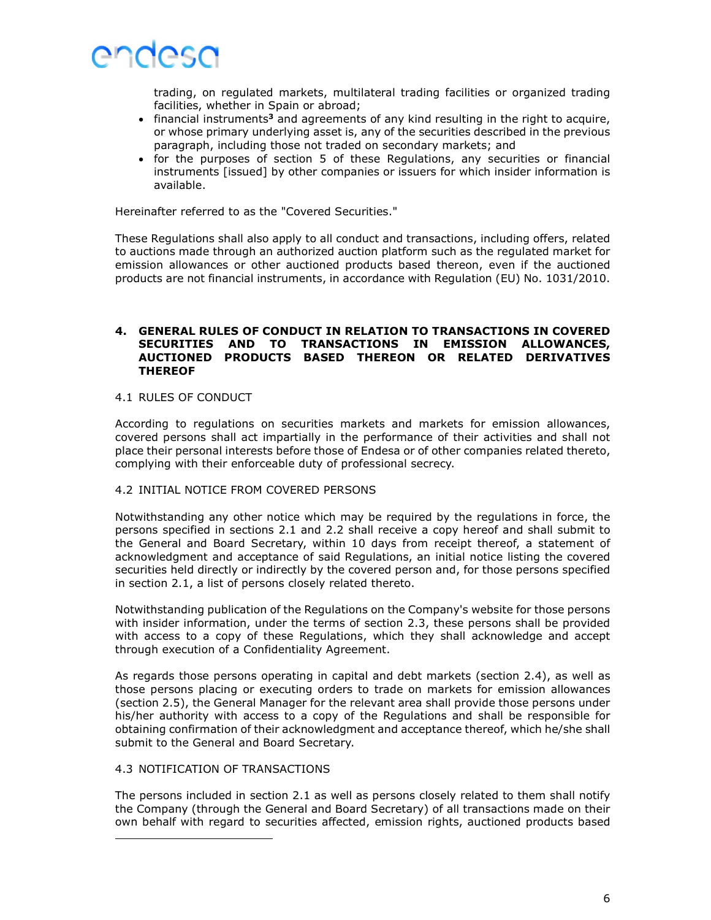

trading, on regulated markets, multilateral trading facilities or organized trading facilities, whether in Spain or abroad;

- financial instruments<sup>3</sup> and agreements of any kind resulting in the right to acquire, or whose primary underlying asset is, any of the securities described in the previous paragraph, including those not traded on secondary markets; and
- for the purposes of section 5 of these Regulations, any securities or financial instruments [issued] by other companies or issuers for which insider information is available.

Hereinafter referred to as the "Covered Securities."

These Regulations shall also apply to all conduct and transactions, including offers, related to auctions made through an authorized auction platform such as the regulated market for emission allowances or other auctioned products based thereon, even if the auctioned products are not financial instruments, in accordance with Regulation (EU) No. 1031/2010.

### 4. GENERAL RULES OF CONDUCT IN RELATION TO TRANSACTIONS IN COVERED SECURITIES AND TO TRANSACTIONS IN EMISSION ALLOWANCES, AUCTIONED PRODUCTS BASED THEREON OR RELATED DERIVATIVES **THEREOF**

### 4.1 RULES OF CONDUCT

According to regulations on securities markets and markets for emission allowances, covered persons shall act impartially in the performance of their activities and shall not place their personal interests before those of Endesa or of other companies related thereto, complying with their enforceable duty of professional secrecy.

### 4.2 INITIAL NOTICE FROM COVERED PERSONS

Notwithstanding any other notice which may be required by the regulations in force, the persons specified in sections 2.1 and 2.2 shall receive a copy hereof and shall submit to the General and Board Secretary, within 10 days from receipt thereof, a statement of acknowledgment and acceptance of said Regulations, an initial notice listing the covered securities held directly or indirectly by the covered person and, for those persons specified in section 2.1, a list of persons closely related thereto.

Notwithstanding publication of the Regulations on the Company's website for those persons with insider information, under the terms of section 2.3, these persons shall be provided with access to a copy of these Regulations, which they shall acknowledge and accept through execution of a Confidentiality Agreement.

As regards those persons operating in capital and debt markets (section 2.4), as well as those persons placing or executing orders to trade on markets for emission allowances (section 2.5), the General Manager for the relevant area shall provide those persons under his/her authority with access to a copy of the Regulations and shall be responsible for obtaining confirmation of their acknowledgment and acceptance thereof, which he/she shall submit to the General and Board Secretary.

#### 4.3 NOTIFICATION OF TRANSACTIONS

The persons included in section 2.1 as well as persons closely related to them shall notify the Company (through the General and Board Secretary) of all transactions made on their own behalf with regard to securities affected, emission rights, auctioned products based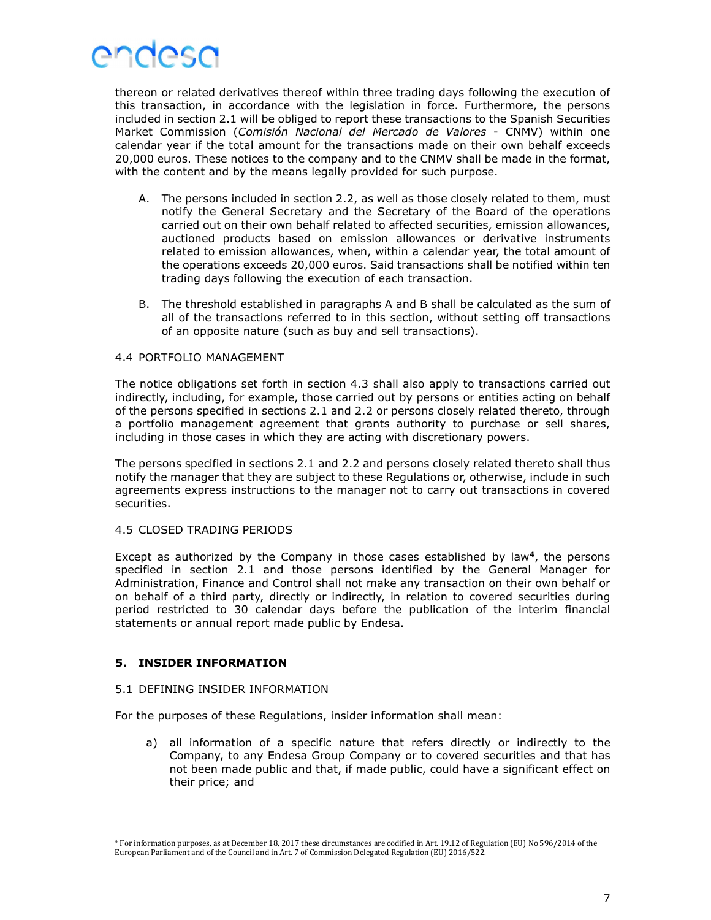

thereon or related derivatives thereof within three trading days following the execution of this transaction, in accordance with the legislation in force. Furthermore, the persons included in section 2.1 will be obliged to report these transactions to the Spanish Securities Market Commission (Comisión Nacional del Mercado de Valores - CNMV) within one calendar year if the total amount for the transactions made on their own behalf exceeds 20,000 euros. These notices to the company and to the CNMV shall be made in the format, with the content and by the means legally provided for such purpose.

- A. The persons included in section 2.2, as well as those closely related to them, must notify the General Secretary and the Secretary of the Board of the operations carried out on their own behalf related to affected securities, emission allowances, auctioned products based on emission allowances or derivative instruments related to emission allowances, when, within a calendar year, the total amount of the operations exceeds 20,000 euros. Said transactions shall be notified within ten trading days following the execution of each transaction.
- B. The threshold established in paragraphs A and B shall be calculated as the sum of all of the transactions referred to in this section, without setting off transactions of an opposite nature (such as buy and sell transactions).

### 4.4 PORTFOLIO MANAGEMENT

The notice obligations set forth in section 4.3 shall also apply to transactions carried out indirectly, including, for example, those carried out by persons or entities acting on behalf of the persons specified in sections 2.1 and 2.2 or persons closely related thereto, through a portfolio management agreement that grants authority to purchase or sell shares, including in those cases in which they are acting with discretionary powers.

The persons specified in sections 2.1 and 2.2 and persons closely related thereto shall thus notify the manager that they are subject to these Regulations or, otherwise, include in such agreements express instructions to the manager not to carry out transactions in covered securities.

### 4.5 CLOSED TRADING PERIODS

Except as authorized by the Company in those cases established by law<sup>4</sup>, the persons specified in section 2.1 and those persons identified by the General Manager for Administration, Finance and Control shall not make any transaction on their own behalf or on behalf of a third party, directly or indirectly, in relation to covered securities during period restricted to 30 calendar days before the publication of the interim financial statements or annual report made public by Endesa.

### 5. INSIDER INFORMATION

#### 5.1 DEFINING INSIDER INFORMATION

For the purposes of these Regulations, insider information shall mean:

a) all information of a specific nature that refers directly or indirectly to the Company, to any Endesa Group Company or to covered securities and that has not been made public and that, if made public, could have a significant effect on their price; and

<sup>4</sup> For information purposes, as at December 18, 2017 these circumstances are codified in Art. 19.12 of Regulation (EU) No 596/2014 of the European Parliament and of the Council and in Art. 7 of Commission Delegated Regulation (EU) 2016/522.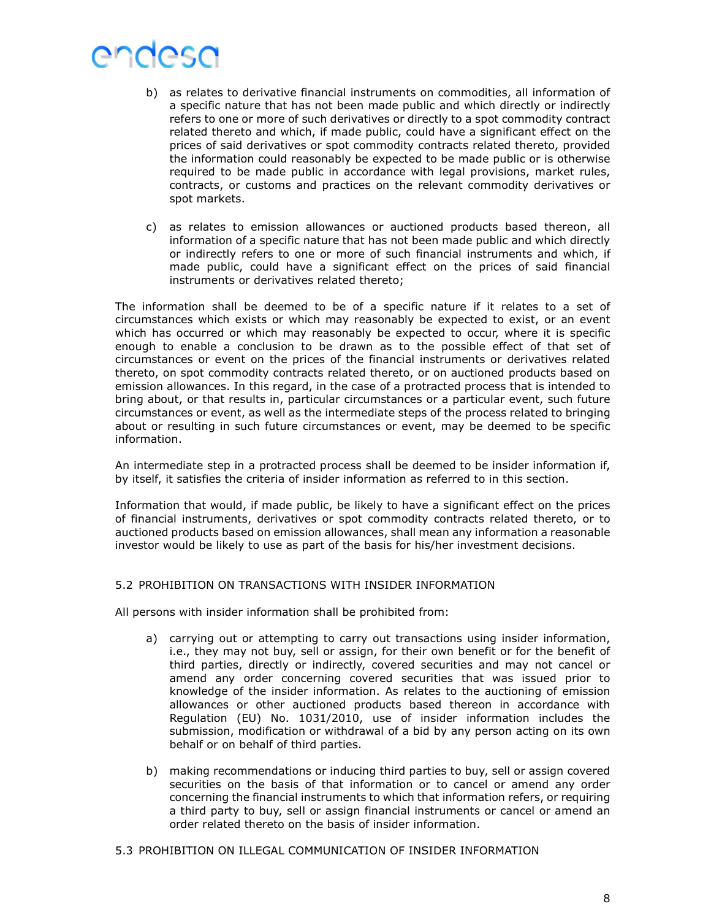- b) as relates to derivative financial instruments on commodities, all information of a specific nature that has not been made public and which directly or indirectly refers to one or more of such derivatives or directly to a spot commodity contract related thereto and which, if made public, could have a significant effect on the prices of said derivatives or spot commodity contracts related thereto, provided the information could reasonably be expected to be made public or is otherwise required to be made public in accordance with legal provisions, market rules, contracts, or customs and practices on the relevant commodity derivatives or spot markets.
- c) as relates to emission allowances or auctioned products based thereon, all information of a specific nature that has not been made public and which directly or indirectly refers to one or more of such financial instruments and which, if made public, could have a significant effect on the prices of said financial instruments or derivatives related thereto;

The information shall be deemed to be of a specific nature if it relates to a set of circumstances which exists or which may reasonably be expected to exist, or an event which has occurred or which may reasonably be expected to occur, where it is specific enough to enable a conclusion to be drawn as to the possible effect of that set of circumstances or event on the prices of the financial instruments or derivatives related thereto, on spot commodity contracts related thereto, or on auctioned products based on emission allowances. In this regard, in the case of a protracted process that is intended to bring about, or that results in, particular circumstances or a particular event, such future circumstances or event, as well as the intermediate steps of the process related to bringing about or resulting in such future circumstances or event, may be deemed to be specific information.

An intermediate step in a protracted process shall be deemed to be insider information if, by itself, it satisfies the criteria of insider information as referred to in this section.

Information that would, if made public, be likely to have a significant effect on the prices of financial instruments, derivatives or spot commodity contracts related thereto, or to auctioned products based on emission allowances, shall mean any information a reasonable investor would be likely to use as part of the basis for his/her investment decisions.

### 5.2 PROHIBITION ON TRANSACTIONS WITH INSIDER INFORMATION

All persons with insider information shall be prohibited from:

- a) carrying out or attempting to carry out transactions using insider information, i.e., they may not buy, sell or assign, for their own benefit or for the benefit of third parties, directly or indirectly, covered securities and may not cancel or amend any order concerning covered securities that was issued prior to knowledge of the insider information. As relates to the auctioning of emission allowances or other auctioned products based thereon in accordance with Regulation (EU) No. 1031/2010, use of insider information includes the submission, modification or withdrawal of a bid by any person acting on its own behalf or on behalf of third parties.
- b) making recommendations or inducing third parties to buy, sell or assign covered securities on the basis of that information or to cancel or amend any order concerning the financial instruments to which that information refers, or requiring a third party to buy, sell or assign financial instruments or cancel or amend an order related thereto on the basis of insider information.
- 5.3 PROHIBITION ON ILLEGAL COMMUNICATION OF INSIDER INFORMATION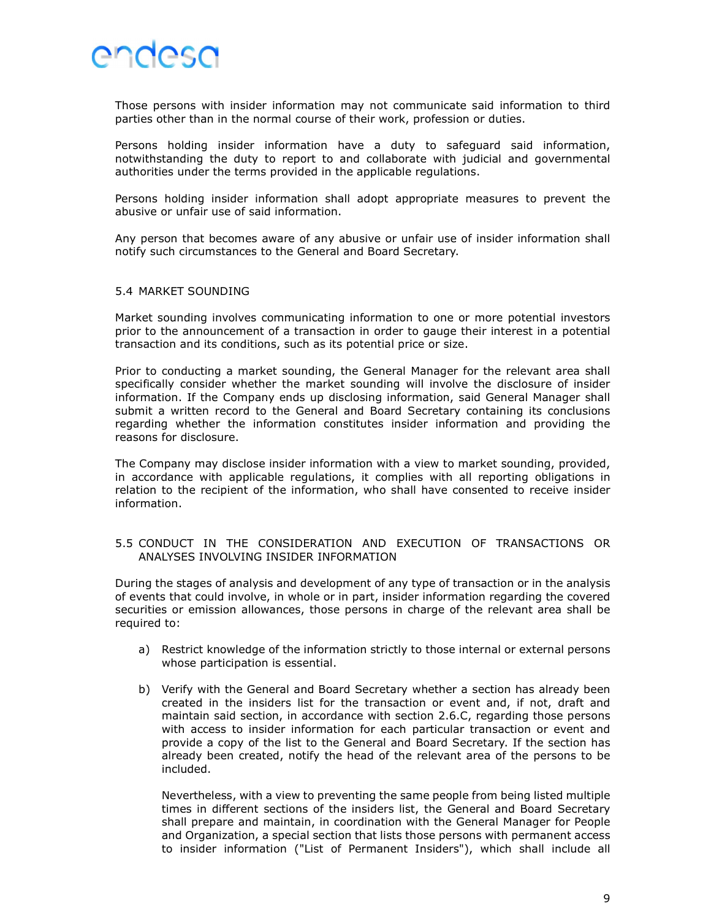

Those persons with insider information may not communicate said information to third parties other than in the normal course of their work, profession or duties.

Persons holding insider information have a duty to safeguard said information, notwithstanding the duty to report to and collaborate with judicial and governmental authorities under the terms provided in the applicable regulations.

Persons holding insider information shall adopt appropriate measures to prevent the abusive or unfair use of said information.

Any person that becomes aware of any abusive or unfair use of insider information shall notify such circumstances to the General and Board Secretary.

#### 5.4 MARKET SOUNDING

Market sounding involves communicating information to one or more potential investors prior to the announcement of a transaction in order to gauge their interest in a potential transaction and its conditions, such as its potential price or size.

Prior to conducting a market sounding, the General Manager for the relevant area shall specifically consider whether the market sounding will involve the disclosure of insider information. If the Company ends up disclosing information, said General Manager shall submit a written record to the General and Board Secretary containing its conclusions regarding whether the information constitutes insider information and providing the reasons for disclosure.

The Company may disclose insider information with a view to market sounding, provided, in accordance with applicable regulations, it complies with all reporting obligations in relation to the recipient of the information, who shall have consented to receive insider information.

### 5.5 CONDUCT IN THE CONSIDERATION AND EXECUTION OF TRANSACTIONS OR ANALYSES INVOLVING INSIDER INFORMATION

During the stages of analysis and development of any type of transaction or in the analysis of events that could involve, in whole or in part, insider information regarding the covered securities or emission allowances, those persons in charge of the relevant area shall be required to:

- a) Restrict knowledge of the information strictly to those internal or external persons whose participation is essential.
- b) Verify with the General and Board Secretary whether a section has already been created in the insiders list for the transaction or event and, if not, draft and maintain said section, in accordance with section 2.6.C, regarding those persons with access to insider information for each particular transaction or event and provide a copy of the list to the General and Board Secretary. If the section has already been created, notify the head of the relevant area of the persons to be included.

Nevertheless, with a view to preventing the same people from being listed multiple times in different sections of the insiders list, the General and Board Secretary shall prepare and maintain, in coordination with the General Manager for People and Organization, a special section that lists those persons with permanent access to insider information ("List of Permanent Insiders"), which shall include all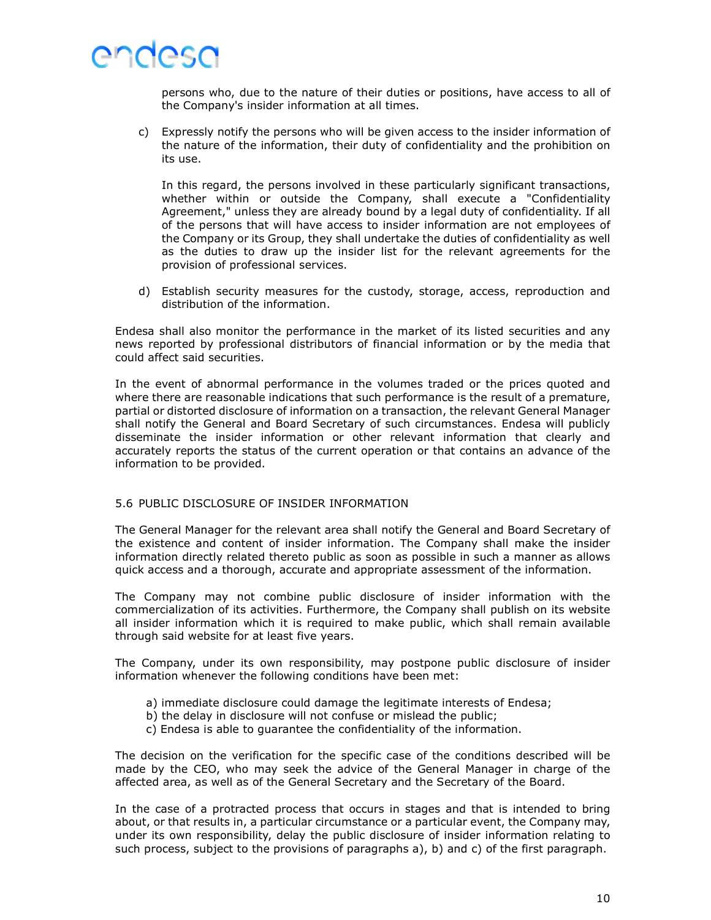

persons who, due to the nature of their duties or positions, have access to all of the Company's insider information at all times.

c) Expressly notify the persons who will be given access to the insider information of the nature of the information, their duty of confidentiality and the prohibition on its use.

In this regard, the persons involved in these particularly significant transactions, whether within or outside the Company, shall execute a "Confidentiality Agreement," unless they are already bound by a legal duty of confidentiality. If all of the persons that will have access to insider information are not employees of the Company or its Group, they shall undertake the duties of confidentiality as well as the duties to draw up the insider list for the relevant agreements for the provision of professional services.

d) Establish security measures for the custody, storage, access, reproduction and distribution of the information.

Endesa shall also monitor the performance in the market of its listed securities and any news reported by professional distributors of financial information or by the media that could affect said securities.

In the event of abnormal performance in the volumes traded or the prices quoted and where there are reasonable indications that such performance is the result of a premature, partial or distorted disclosure of information on a transaction, the relevant General Manager shall notify the General and Board Secretary of such circumstances. Endesa will publicly disseminate the insider information or other relevant information that clearly and accurately reports the status of the current operation or that contains an advance of the information to be provided.

#### 5.6 PUBLIC DISCLOSURE OF INSIDER INFORMATION

The General Manager for the relevant area shall notify the General and Board Secretary of the existence and content of insider information. The Company shall make the insider information directly related thereto public as soon as possible in such a manner as allows quick access and a thorough, accurate and appropriate assessment of the information.

The Company may not combine public disclosure of insider information with the commercialization of its activities. Furthermore, the Company shall publish on its website all insider information which it is required to make public, which shall remain available through said website for at least five years.

The Company, under its own responsibility, may postpone public disclosure of insider information whenever the following conditions have been met:

- a) immediate disclosure could damage the legitimate interests of Endesa;
- b) the delay in disclosure will not confuse or mislead the public;
- c) Endesa is able to guarantee the confidentiality of the information.

The decision on the verification for the specific case of the conditions described will be made by the CEO, who may seek the advice of the General Manager in charge of the affected area, as well as of the General Secretary and the Secretary of the Board.

In the case of a protracted process that occurs in stages and that is intended to bring about, or that results in, a particular circumstance or a particular event, the Company may, under its own responsibility, delay the public disclosure of insider information relating to such process, subject to the provisions of paragraphs a), b) and c) of the first paragraph.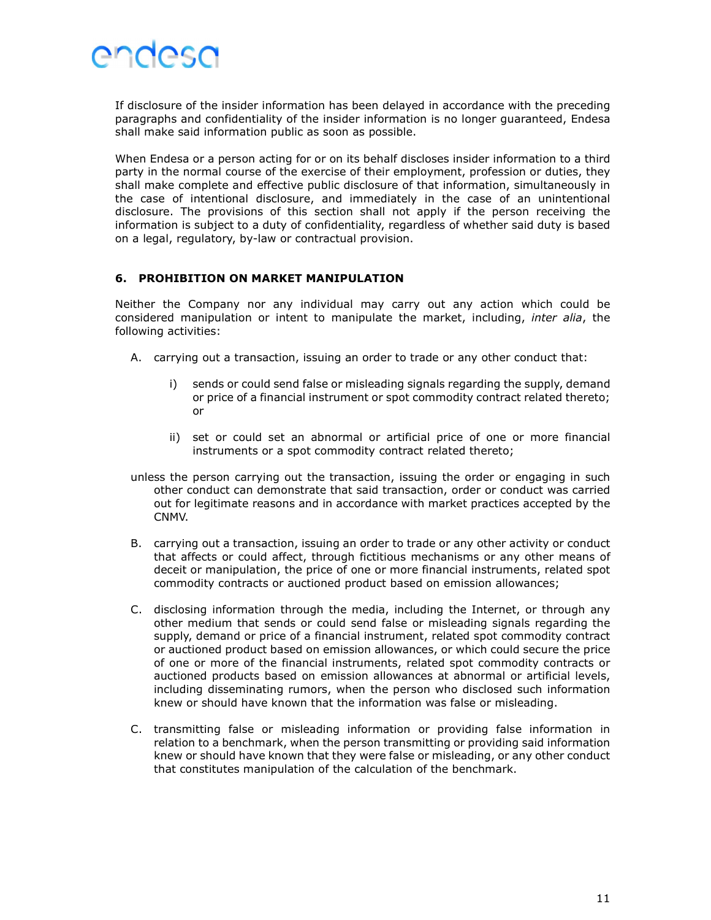

If disclosure of the insider information has been delayed in accordance with the preceding paragraphs and confidentiality of the insider information is no longer guaranteed, Endesa shall make said information public as soon as possible.

When Endesa or a person acting for or on its behalf discloses insider information to a third party in the normal course of the exercise of their employment, profession or duties, they shall make complete and effective public disclosure of that information, simultaneously in the case of intentional disclosure, and immediately in the case of an unintentional disclosure. The provisions of this section shall not apply if the person receiving the information is subject to a duty of confidentiality, regardless of whether said duty is based on a legal, regulatory, by-law or contractual provision.

### 6. PROHIBITION ON MARKET MANIPULATION

Neither the Company nor any individual may carry out any action which could be considered manipulation or intent to manipulate the market, including, inter alia, the following activities:

- A. carrying out a transaction, issuing an order to trade or any other conduct that:
	- i) sends or could send false or misleading signals regarding the supply, demand or price of a financial instrument or spot commodity contract related thereto; or
	- ii) set or could set an abnormal or artificial price of one or more financial instruments or a spot commodity contract related thereto;
- unless the person carrying out the transaction, issuing the order or engaging in such other conduct can demonstrate that said transaction, order or conduct was carried out for legitimate reasons and in accordance with market practices accepted by the CNMV.
- B. carrying out a transaction, issuing an order to trade or any other activity or conduct that affects or could affect, through fictitious mechanisms or any other means of deceit or manipulation, the price of one or more financial instruments, related spot commodity contracts or auctioned product based on emission allowances;
- C. disclosing information through the media, including the Internet, or through any other medium that sends or could send false or misleading signals regarding the supply, demand or price of a financial instrument, related spot commodity contract or auctioned product based on emission allowances, or which could secure the price of one or more of the financial instruments, related spot commodity contracts or auctioned products based on emission allowances at abnormal or artificial levels, including disseminating rumors, when the person who disclosed such information knew or should have known that the information was false or misleading.
- C. transmitting false or misleading information or providing false information in relation to a benchmark, when the person transmitting or providing said information knew or should have known that they were false or misleading, or any other conduct that constitutes manipulation of the calculation of the benchmark.